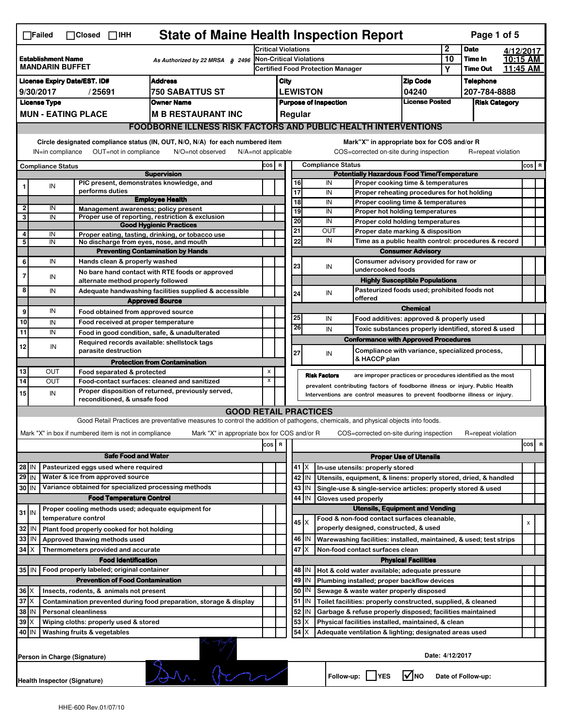|                                        | $\Box$ Failed                                                                                                                                                         |  | $\Box$ Closed $\Box$ IHH                                            | <b>State of Maine Health Inspection Report</b>                                                                                    |                                                                            |                                          |                                 |               |                          |                                                                                                                                                            |                                       |                 | Page 1 of 5        |           |       |   |
|----------------------------------------|-----------------------------------------------------------------------------------------------------------------------------------------------------------------------|--|---------------------------------------------------------------------|-----------------------------------------------------------------------------------------------------------------------------------|----------------------------------------------------------------------------|------------------------------------------|---------------------------------|---------------|--------------------------|------------------------------------------------------------------------------------------------------------------------------------------------------------|---------------------------------------|-----------------|--------------------|-----------|-------|---|
|                                        |                                                                                                                                                                       |  |                                                                     |                                                                                                                                   | <b>Critical Violations</b>                                                 |                                          |                                 |               |                          |                                                                                                                                                            |                                       | 2               | <b>Date</b>        | 4/12/2017 |       |   |
|                                        | <b>Establishment Name</b><br>As Authorized by 22 MRSA § 2496<br><b>MANDARIN BUFFET</b>                                                                                |  |                                                                     | Non-Critical Violations                                                                                                           |                                                                            |                                          |                                 |               |                          | 10                                                                                                                                                         | Time In                               | 10:15 AM        |                    |           |       |   |
|                                        |                                                                                                                                                                       |  |                                                                     |                                                                                                                                   |                                                                            | <b>Certified Food Protection Manager</b> |                                 |               |                          |                                                                                                                                                            | Υ                                     | <b>Time Out</b> | 11:45 AM           |           |       |   |
|                                        | <b>Address</b><br><b>License Expiry Date/EST. ID#</b>                                                                                                                 |  |                                                                     |                                                                                                                                   |                                                                            | City                                     |                                 |               |                          |                                                                                                                                                            | <b>Zip Code</b>                       |                 | <b>Telephone</b>   |           |       |   |
| 9/30/2017<br>/25691<br>750 SABATTUS ST |                                                                                                                                                                       |  |                                                                     |                                                                                                                                   | <b>LEWISTON</b><br>04240<br>License Posted<br><b>Purpose of Inspection</b> |                                          |                                 |               |                          | 207-784-8888                                                                                                                                               |                                       |                 |                    |           |       |   |
|                                        | <b>License Type</b><br><b>MUN - EATING PLACE</b>                                                                                                                      |  |                                                                     | <b>Owner Name</b><br><b>M B RESTAURANT INC</b>                                                                                    |                                                                            |                                          | <b>Risk Category</b><br>Regular |               |                          |                                                                                                                                                            |                                       |                 |                    |           |       |   |
|                                        |                                                                                                                                                                       |  |                                                                     |                                                                                                                                   |                                                                            |                                          |                                 |               |                          |                                                                                                                                                            |                                       |                 |                    |           |       |   |
|                                        | <b>FOODBORNE ILLNESS RISK FACTORS AND PUBLIC HEALTH INTERVENTIONS</b>                                                                                                 |  |                                                                     |                                                                                                                                   |                                                                            |                                          |                                 |               |                          |                                                                                                                                                            |                                       |                 |                    |           |       |   |
|                                        | Circle designated compliance status (IN, OUT, N/O, N/A) for each numbered item<br>OUT=not in compliance<br>N/O=not observed<br>N/A=not applicable<br>IN=in compliance |  |                                                                     |                                                                                                                                   |                                                                            |                                          |                                 |               |                          | Mark"X" in appropriate box for COS and/or R<br>COS=corrected on-site during inspection                                                                     |                                       |                 | R=repeat violation |           |       |   |
|                                        | <b>Compliance Status</b>                                                                                                                                              |  |                                                                     |                                                                                                                                   | cos                                                                        | R                                        |                                 |               | <b>Compliance Status</b> |                                                                                                                                                            |                                       |                 |                    |           | COS R |   |
|                                        |                                                                                                                                                                       |  |                                                                     | <b>Supervision</b>                                                                                                                |                                                                            |                                          |                                 |               |                          | <b>Potentially Hazardous Food Time/Temperature</b>                                                                                                         |                                       |                 |                    |           |       |   |
|                                        | IN                                                                                                                                                                    |  | PIC present, demonstrates knowledge, and                            |                                                                                                                                   |                                                                            |                                          | 16                              |               | IN                       | Proper cooking time & temperatures                                                                                                                         |                                       |                 |                    |           |       |   |
|                                        |                                                                                                                                                                       |  | performs duties                                                     | <b>Employee Health</b>                                                                                                            |                                                                            |                                          | 17<br>18                        |               | IN<br>IN                 | Proper reheating procedures for hot holding<br>Proper cooling time & temperatures                                                                          |                                       |                 |                    |           |       |   |
| $\overline{\mathbf{2}}$                | IN                                                                                                                                                                    |  | Management awareness; policy present                                |                                                                                                                                   |                                                                            |                                          | 19                              |               | IN                       | Proper hot holding temperatures                                                                                                                            |                                       |                 |                    |           |       |   |
| 3                                      | IN                                                                                                                                                                    |  |                                                                     | Proper use of reporting, restriction & exclusion                                                                                  |                                                                            |                                          | 20                              |               | IN                       | Proper cold holding temperatures                                                                                                                           |                                       |                 |                    |           |       |   |
| 4                                      |                                                                                                                                                                       |  |                                                                     | <b>Good Hygienic Practices</b>                                                                                                    |                                                                            |                                          | 21                              |               | OUT                      | Proper date marking & disposition                                                                                                                          |                                       |                 |                    |           |       |   |
| 5                                      | IN<br>IN                                                                                                                                                              |  | No discharge from eyes, nose, and mouth                             | Proper eating, tasting, drinking, or tobacco use                                                                                  |                                                                            |                                          | 22                              |               | IN                       | Time as a public health control: procedures & record                                                                                                       |                                       |                 |                    |           |       |   |
|                                        |                                                                                                                                                                       |  |                                                                     | <b>Preventing Contamination by Hands</b>                                                                                          |                                                                            |                                          |                                 |               |                          |                                                                                                                                                            | <b>Consumer Advisory</b>              |                 |                    |           |       |   |
| 6                                      | IN                                                                                                                                                                    |  | Hands clean & properly washed                                       |                                                                                                                                   |                                                                            |                                          | 23                              |               |                          | Consumer advisory provided for raw or                                                                                                                      |                                       |                 |                    |           |       |   |
| $\overline{7}$                         | IN                                                                                                                                                                    |  |                                                                     | No bare hand contact with RTE foods or approved                                                                                   |                                                                            |                                          |                                 |               | IN                       | undercooked foods                                                                                                                                          |                                       |                 |                    |           |       |   |
|                                        |                                                                                                                                                                       |  | alternate method properly followed                                  |                                                                                                                                   |                                                                            |                                          |                                 |               |                          |                                                                                                                                                            | <b>Highly Susceptible Populations</b> |                 |                    |           |       |   |
| 8                                      | IN                                                                                                                                                                    |  |                                                                     | Adequate handwashing facilities supplied & accessible                                                                             |                                                                            |                                          | 24                              |               | IN                       | Pasteurized foods used; prohibited foods not<br>offered                                                                                                    |                                       |                 |                    |           |       |   |
|                                        | IN                                                                                                                                                                    |  |                                                                     | <b>Approved Source</b>                                                                                                            |                                                                            |                                          |                                 |               |                          |                                                                                                                                                            | <b>Chemical</b>                       |                 |                    |           |       |   |
| 9                                      |                                                                                                                                                                       |  | Food obtained from approved source                                  |                                                                                                                                   |                                                                            |                                          | 25                              |               | IN                       | Food additives: approved & properly used                                                                                                                   |                                       |                 |                    |           |       |   |
| 10                                     | IN                                                                                                                                                                    |  | Food received at proper temperature                                 |                                                                                                                                   |                                                                            |                                          | 26                              |               | IN                       | Toxic substances properly identified, stored & used                                                                                                        |                                       |                 |                    |           |       |   |
| $\overline{11}$                        | IN                                                                                                                                                                    |  | Food in good condition, safe, & unadulterated                       |                                                                                                                                   |                                                                            |                                          |                                 |               |                          | <b>Conformance with Approved Procedures</b>                                                                                                                |                                       |                 |                    |           |       |   |
| 12                                     | IN                                                                                                                                                                    |  | Required records available: shellstock tags<br>parasite destruction |                                                                                                                                   |                                                                            |                                          |                                 |               |                          | Compliance with variance, specialized process,                                                                                                             |                                       |                 |                    |           |       |   |
|                                        |                                                                                                                                                                       |  |                                                                     | <b>Protection from Contamination</b>                                                                                              |                                                                            |                                          | 27                              |               | IN                       | & HACCP plan                                                                                                                                               |                                       |                 |                    |           |       |   |
| 13                                     | OUT                                                                                                                                                                   |  | Food separated & protected                                          |                                                                                                                                   | X                                                                          |                                          |                                 |               |                          |                                                                                                                                                            |                                       |                 |                    |           |       |   |
| 14                                     | <b>OUT</b>                                                                                                                                                            |  | Food-contact surfaces: cleaned and sanitized                        |                                                                                                                                   | X                                                                          |                                          |                                 |               | <b>Risk Factors</b>      | are improper practices or procedures identified as the most                                                                                                |                                       |                 |                    |           |       |   |
| 15                                     | IN                                                                                                                                                                    |  |                                                                     | Proper disposition of returned, previously served,                                                                                |                                                                            |                                          |                                 |               |                          | prevalent contributing factors of foodborne illness or injury. Public Health<br>Interventions are control measures to prevent foodborne illness or injury. |                                       |                 |                    |           |       |   |
|                                        |                                                                                                                                                                       |  | reconditioned, & unsafe food                                        |                                                                                                                                   |                                                                            |                                          |                                 |               |                          |                                                                                                                                                            |                                       |                 |                    |           |       |   |
|                                        |                                                                                                                                                                       |  |                                                                     | <b>GOOD RETAIL PRACTICES</b>                                                                                                      |                                                                            |                                          |                                 |               |                          |                                                                                                                                                            |                                       |                 |                    |           |       |   |
|                                        |                                                                                                                                                                       |  |                                                                     | Good Retail Practices are preventative measures to control the addition of pathogens, chemicals, and physical objects into foods. |                                                                            |                                          |                                 |               |                          |                                                                                                                                                            |                                       |                 |                    |           |       |   |
|                                        |                                                                                                                                                                       |  | Mark "X" in box if numbered item is not in compliance               | Mark "X" in appropriate box for COS and/or R                                                                                      |                                                                            |                                          |                                 |               |                          | COS=corrected on-site during inspection                                                                                                                    |                                       |                 | R=repeat violation |           |       |   |
|                                        |                                                                                                                                                                       |  |                                                                     |                                                                                                                                   | cos                                                                        | R                                        |                                 |               |                          |                                                                                                                                                            |                                       |                 |                    |           | cos   | R |
|                                        |                                                                                                                                                                       |  | <b>Safe Food and Water</b>                                          |                                                                                                                                   |                                                                            |                                          |                                 |               |                          |                                                                                                                                                            | <b>Proper Use of Utensils</b>         |                 |                    |           |       |   |
| 28 IN                                  |                                                                                                                                                                       |  | Pasteurized eggs used where required                                |                                                                                                                                   |                                                                            |                                          |                                 | $41$ $\times$ |                          | In-use utensils: properly stored                                                                                                                           |                                       |                 |                    |           |       |   |
| $29$ IN                                |                                                                                                                                                                       |  | Water & ice from approved source                                    |                                                                                                                                   |                                                                            |                                          |                                 | 42 IN         |                          | Utensils, equipment, & linens: properly stored, dried, & handled                                                                                           |                                       |                 |                    |           |       |   |
| 30 IN                                  |                                                                                                                                                                       |  | Variance obtained for specialized processing methods                |                                                                                                                                   |                                                                            |                                          |                                 | 43 IN         |                          | Single-use & single-service articles: properly stored & used                                                                                               |                                       |                 |                    |           |       |   |
|                                        |                                                                                                                                                                       |  | <b>Food Temperature Control</b>                                     |                                                                                                                                   |                                                                            |                                          | 44                              | IN            | Gloves used properly     |                                                                                                                                                            |                                       |                 |                    |           |       |   |
| $31$ IN                                |                                                                                                                                                                       |  | Proper cooling methods used; adequate equipment for                 |                                                                                                                                   |                                                                            |                                          |                                 |               |                          | <b>Utensils, Equipment and Vending</b>                                                                                                                     |                                       |                 |                    |           |       |   |
|                                        |                                                                                                                                                                       |  | temperature control                                                 |                                                                                                                                   |                                                                            |                                          |                                 | $45 \times$   |                          | Food & non-food contact surfaces cleanable.                                                                                                                |                                       |                 |                    |           | X     |   |
| 32                                     | IN                                                                                                                                                                    |  | Plant food properly cooked for hot holding                          |                                                                                                                                   |                                                                            |                                          |                                 |               |                          | properly designed, constructed, & used                                                                                                                     |                                       |                 |                    |           |       |   |
| 33                                     | IN                                                                                                                                                                    |  | Approved thawing methods used                                       |                                                                                                                                   |                                                                            |                                          |                                 | 46 IN         |                          | Warewashing facilities: installed, maintained, & used; test strips                                                                                         |                                       |                 |                    |           |       |   |
| 34                                     | ΙX                                                                                                                                                                    |  | Thermometers provided and accurate                                  |                                                                                                                                   |                                                                            |                                          |                                 | 47 X          |                          | Non-food contact surfaces clean                                                                                                                            |                                       |                 |                    |           |       |   |
|                                        |                                                                                                                                                                       |  | <b>Food Identification</b>                                          |                                                                                                                                   |                                                                            |                                          |                                 |               |                          |                                                                                                                                                            | <b>Physical Facilities</b>            |                 |                    |           |       |   |
|                                        |                                                                                                                                                                       |  | 35 IN   Food properly labeled; original container                   |                                                                                                                                   |                                                                            |                                          |                                 | 48   IN       |                          | Hot & cold water available; adequate pressure                                                                                                              |                                       |                 |                    |           |       |   |
|                                        |                                                                                                                                                                       |  | <b>Prevention of Food Contamination</b>                             |                                                                                                                                   |                                                                            |                                          | 49                              | IN<br>IN      |                          | Plumbing installed; proper backflow devices                                                                                                                |                                       |                 |                    |           |       |   |
| 37                                     | $36 \times$<br>Insects, rodents, & animals not present                                                                                                                |  |                                                                     |                                                                                                                                   |                                                                            |                                          | 50<br>51                        | IN            |                          | Sewage & waste water properly disposed                                                                                                                     |                                       |                 |                    |           |       |   |
| 38                                     | Iχ<br>Contamination prevented during food preparation, storage & display<br>IN<br><b>Personal cleanliness</b>                                                         |  |                                                                     |                                                                                                                                   |                                                                            |                                          | 52                              | IN            |                          | Toilet facilities: properly constructed, supplied, & cleaned<br>Garbage & refuse properly disposed; facilities maintained                                  |                                       |                 |                    |           |       |   |
| 39                                     |                                                                                                                                                                       |  |                                                                     |                                                                                                                                   |                                                                            |                                          | 53                              | х             |                          | Physical facilities installed, maintained, & clean                                                                                                         |                                       |                 |                    |           |       |   |
|                                        | ΙX<br>Wiping cloths: properly used & stored<br>40 IN<br>Washing fruits & vegetables                                                                                   |  |                                                                     |                                                                                                                                   |                                                                            |                                          | 54                              | X             |                          | Adequate ventilation & lighting; designated areas used                                                                                                     |                                       |                 |                    |           |       |   |
|                                        |                                                                                                                                                                       |  |                                                                     |                                                                                                                                   |                                                                            |                                          |                                 |               |                          |                                                                                                                                                            |                                       |                 |                    |           |       |   |
|                                        | Date: 4/12/2017<br>Person in Charge (Signature)                                                                                                                       |  |                                                                     |                                                                                                                                   |                                                                            |                                          |                                 |               |                          |                                                                                                                                                            |                                       |                 |                    |           |       |   |
|                                        |                                                                                                                                                                       |  |                                                                     |                                                                                                                                   |                                                                            |                                          |                                 |               |                          |                                                                                                                                                            |                                       |                 |                    |           |       |   |
|                                        | Follow-up:  <br><b>YES</b><br>l✔lno<br>Date of Follow-up:<br><b>Health Inspector (Signature)</b>                                                                      |  |                                                                     |                                                                                                                                   |                                                                            |                                          |                                 |               |                          |                                                                                                                                                            |                                       |                 |                    |           |       |   |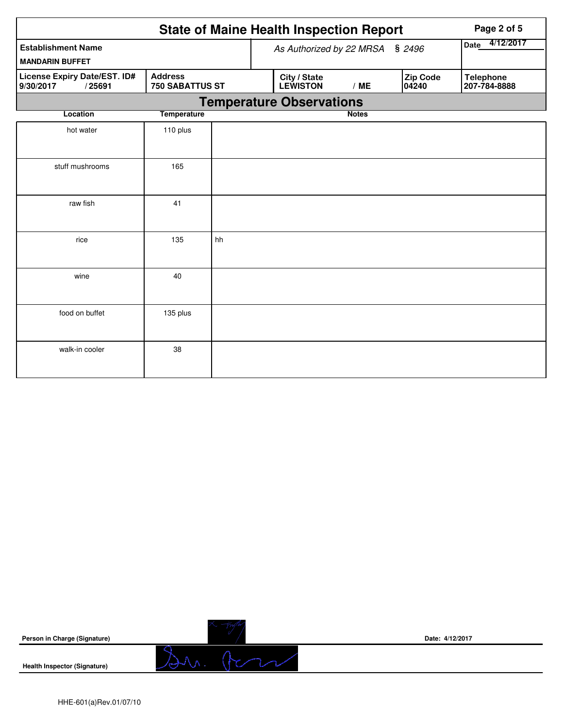|                                                                                                 |                    |    | <b>State of Maine Health Inspection Report</b> |                |                   | Page 2 of 5                      |
|-------------------------------------------------------------------------------------------------|--------------------|----|------------------------------------------------|----------------|-------------------|----------------------------------|
| <b>Establishment Name</b><br><b>MANDARIN BUFFET</b>                                             |                    |    | As Authorized by 22 MRSA                       | Date 4/12/2017 |                   |                                  |
| <b>Address</b><br>License Expiry Date/EST. ID#<br><b>750 SABATTUS ST</b><br>9/30/2017<br>/25691 |                    |    | City / State<br><b>LEWISTON</b>                | /ME            | Zip Code<br>04240 | <b>Telephone</b><br>207-784-8888 |
|                                                                                                 |                    |    | <b>Temperature Observations</b>                |                |                   |                                  |
| Location                                                                                        | <b>Temperature</b> |    |                                                | <b>Notes</b>   |                   |                                  |
| hot water                                                                                       | 110 plus           |    |                                                |                |                   |                                  |
| stuff mushrooms                                                                                 | 165                |    |                                                |                |                   |                                  |
| raw fish                                                                                        | 41                 |    |                                                |                |                   |                                  |
| rice                                                                                            | 135                | hh |                                                |                |                   |                                  |
| wine                                                                                            | 40                 |    |                                                |                |                   |                                  |
| food on buffet                                                                                  | 135 plus           |    |                                                |                |                   |                                  |
| walk-in cooler                                                                                  | 38                 |    |                                                |                |                   |                                  |

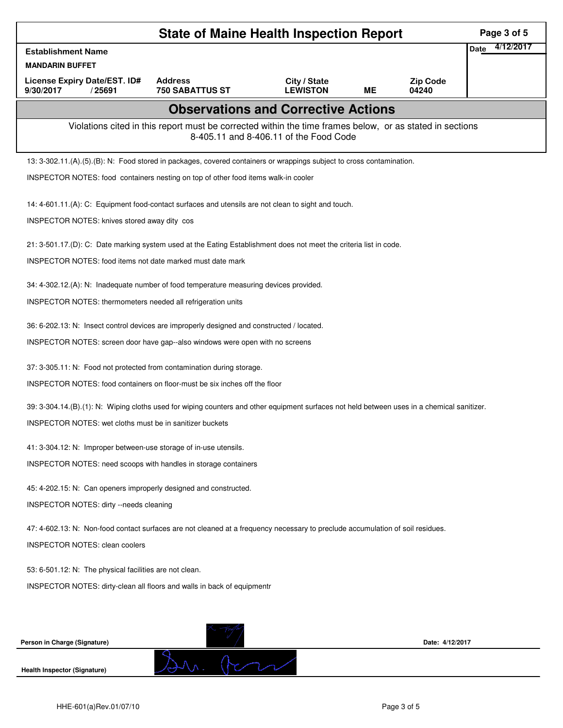|                                                                                                                                             | Page 3 of 5                                                                                              |                                        |    |                          |                   |
|---------------------------------------------------------------------------------------------------------------------------------------------|----------------------------------------------------------------------------------------------------------|----------------------------------------|----|--------------------------|-------------------|
| <b>Establishment Name</b>                                                                                                                   |                                                                                                          |                                        |    |                          | 4/12/2017<br>Date |
| <b>MANDARIN BUFFET</b>                                                                                                                      |                                                                                                          |                                        |    |                          |                   |
| License Expiry Date/EST. ID#<br>9/30/2017<br>/25691                                                                                         | <b>Address</b><br><b>750 SABATTUS ST</b>                                                                 | City / State<br><b>LEWISTON</b>        | MΕ | <b>Zip Code</b><br>04240 |                   |
|                                                                                                                                             | <b>Observations and Corrective Actions</b>                                                               |                                        |    |                          |                   |
|                                                                                                                                             | Violations cited in this report must be corrected within the time frames below, or as stated in sections | 8-405.11 and 8-406.11 of the Food Code |    |                          |                   |
| 13: 3-302.11.(A).(5).(B): N: Food stored in packages, covered containers or wrappings subject to cross contamination.                       |                                                                                                          |                                        |    |                          |                   |
| INSPECTOR NOTES: food containers nesting on top of other food items walk-in cooler                                                          |                                                                                                          |                                        |    |                          |                   |
| 14: 4-601.11.(A): C: Equipment food-contact surfaces and utensils are not clean to sight and touch.                                         |                                                                                                          |                                        |    |                          |                   |
| INSPECTOR NOTES: knives stored away dity cos                                                                                                |                                                                                                          |                                        |    |                          |                   |
| 21: 3-501.17.(D): C: Date marking system used at the Eating Establishment does not meet the criteria list in code.                          |                                                                                                          |                                        |    |                          |                   |
| <b>INSPECTOR NOTES: food items not date marked must date mark</b>                                                                           |                                                                                                          |                                        |    |                          |                   |
| 34: 4-302.12.(A): N: Inadequate number of food temperature measuring devices provided.                                                      |                                                                                                          |                                        |    |                          |                   |
| <b>INSPECTOR NOTES: thermometers needed all refrigeration units</b>                                                                         |                                                                                                          |                                        |    |                          |                   |
| 36: 6-202.13: N: Insect control devices are improperly designed and constructed / located.                                                  |                                                                                                          |                                        |    |                          |                   |
| INSPECTOR NOTES: screen door have gap--also windows were open with no screens                                                               |                                                                                                          |                                        |    |                          |                   |
| 37: 3-305.11: N: Food not protected from contamination during storage.                                                                      |                                                                                                          |                                        |    |                          |                   |
| INSPECTOR NOTES: food containers on floor-must be six inches off the floor                                                                  |                                                                                                          |                                        |    |                          |                   |
| 39: 3-304.14.(B).(1): N: Wiping cloths used for wiping counters and other equipment surfaces not held between uses in a chemical sanitizer. |                                                                                                          |                                        |    |                          |                   |
| <b>INSPECTOR NOTES: wet cloths must be in sanitizer buckets</b>                                                                             |                                                                                                          |                                        |    |                          |                   |
| 41: 3-304.12: N: Improper between-use storage of in-use utensils.                                                                           |                                                                                                          |                                        |    |                          |                   |
| INSPECTOR NOTES: need scoops with handles in storage containers                                                                             |                                                                                                          |                                        |    |                          |                   |
| 45: 4-202.15: N: Can openers improperly designed and constructed.                                                                           |                                                                                                          |                                        |    |                          |                   |
| INSPECTOR NOTES: dirty --needs cleaning                                                                                                     |                                                                                                          |                                        |    |                          |                   |
| 47: 4-602.13: N: Non-food contact surfaces are not cleaned at a frequency necessary to preclude accumulation of soil residues.              |                                                                                                          |                                        |    |                          |                   |
| <b>INSPECTOR NOTES: clean coolers</b>                                                                                                       |                                                                                                          |                                        |    |                          |                   |
| 53: 6-501.12: N: The physical facilities are not clean.                                                                                     |                                                                                                          |                                        |    |                          |                   |
| INSPECTOR NOTES: dirty-clean all floors and walls in back of equipmentr                                                                     |                                                                                                          |                                        |    |                          |                   |
|                                                                                                                                             |                                                                                                          |                                        |    |                          |                   |
|                                                                                                                                             |                                                                                                          |                                        |    |                          |                   |
| Person in Charge (Signature)                                                                                                                |                                                                                                          |                                        |    | Date: 4/12/2017          |                   |
| <b>Health Inspector (Signature)</b>                                                                                                         |                                                                                                          |                                        |    |                          |                   |
|                                                                                                                                             |                                                                                                          |                                        |    |                          |                   |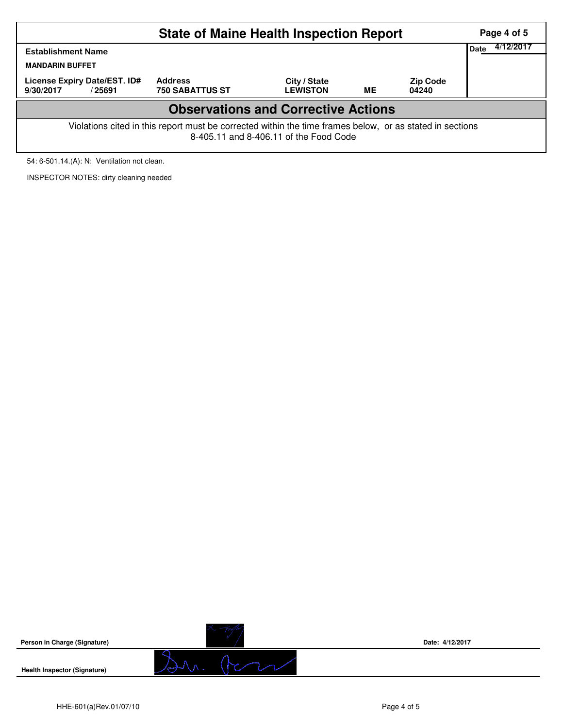|                                                                                                                                                    | Page 4 of 5            |                 |           |                 |                   |  |  |  |  |  |
|----------------------------------------------------------------------------------------------------------------------------------------------------|------------------------|-----------------|-----------|-----------------|-------------------|--|--|--|--|--|
| <b>Establishment Name</b><br><b>MANDARIN BUFFET</b><br>License Expiry Date/EST. ID#                                                                | <b>Address</b>         | City / State    |           | <b>Zip Code</b> | 4/12/2017<br>Date |  |  |  |  |  |
| 9/30/2017<br>/25691                                                                                                                                | <b>750 SABATTUS ST</b> | <b>LEWISTON</b> | <b>ME</b> | 04240           |                   |  |  |  |  |  |
| <b>Observations and Corrective Actions</b>                                                                                                         |                        |                 |           |                 |                   |  |  |  |  |  |
| Violations cited in this report must be corrected within the time frames below, or as stated in sections<br>8-405.11 and 8-406.11 of the Food Code |                        |                 |           |                 |                   |  |  |  |  |  |

54: 6-501.14.(A): N: Ventilation not clean.

INSPECTOR NOTES: dirty cleaning needed